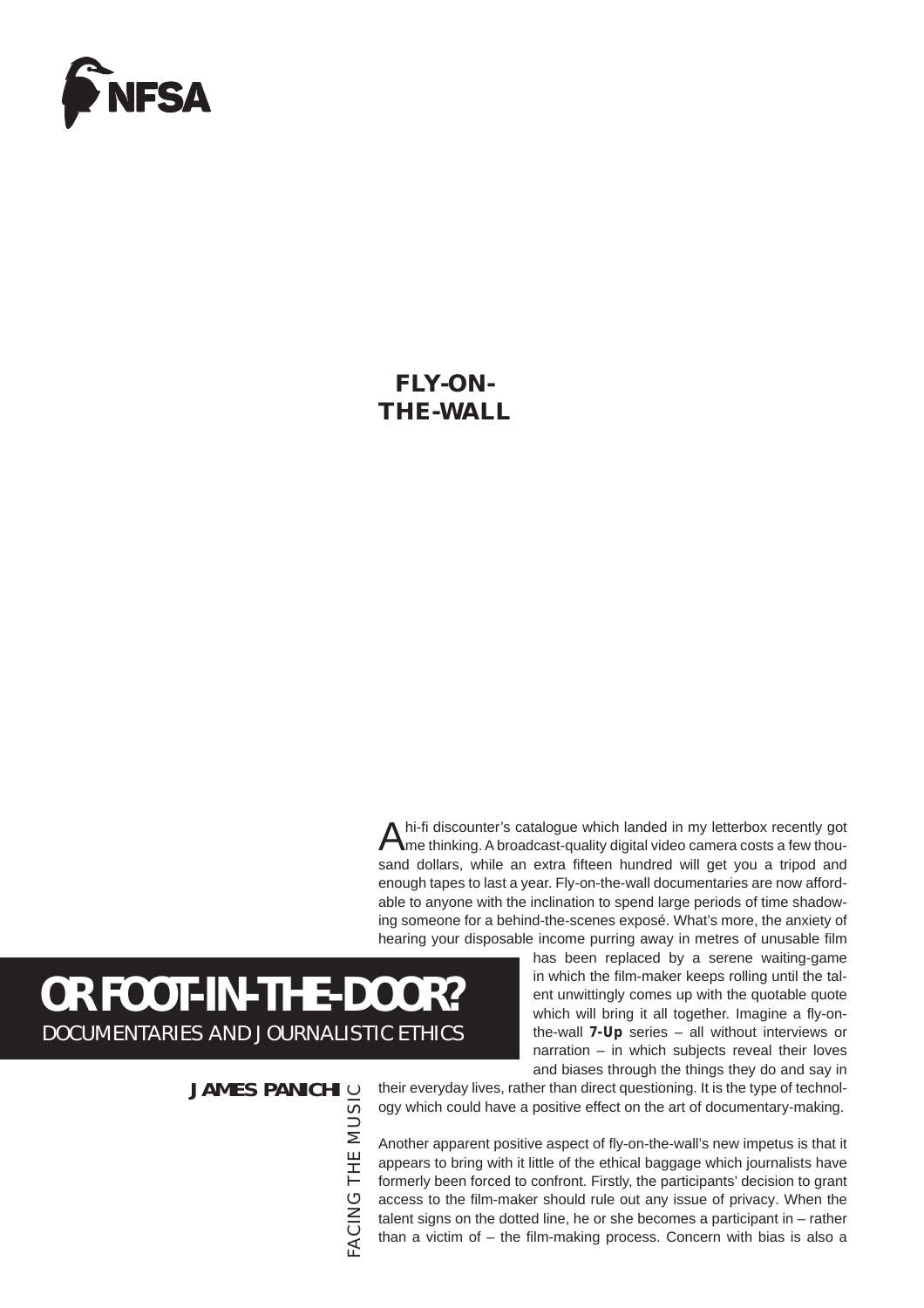

**FLY-ON-THE-WALL**

Ahi-fi discounter's catalogue which landed in my letterbox recently got the thinking. A broadcast-quality digital video camera costs a few thousand dollars, while an extra fifteen hundred will get you a tripod and enough tapes to last a year. Fly-on-the-wall documentaries are now affordable to anyone with the inclination to spend large periods of time shadowing someone for a behind-the-scenes exposé. What's more, the anxiety of hearing your disposable income purring away in metres of unusable film

# **OR FOOT-IN-THE-DOOR?** DOCUMENTARIES AND JOURNALISTIC ETHICS

has been replaced by a serene waiting-game in which the film-maker keeps rolling until the talent unwittingly comes up with the quotable quote which will bring it all together. Imagine a fly-onthe-wall *7-Up* series – all without interviews or narration – in which subjects reveal their loves and biases through the things they do and say in

**JAMES PANICHI**<br>
<u>SON</u><br>
JAMES PANICHI<br>  $\frac{30}{2}$ <br>
JAMES PANICHI<br>  $\frac{10}{2}$ 

*FACING THE MUSIC*

their everyday lives, rather than direct questioning. It is the type of technology which could have a positive effect on the art of documentary-making.

Another apparent positive aspect of fly-on-the-wall's new impetus is that it appears to bring with it little of the ethical baggage which journalists have formerly been forced to confront. Firstly, the participants' decision to grant access to the film-maker should rule out any issue of privacy. When the talent signs on the dotted line, he or she becomes a participant in – rather than a victim of  $-$  the film-making process. Concern with bias is also a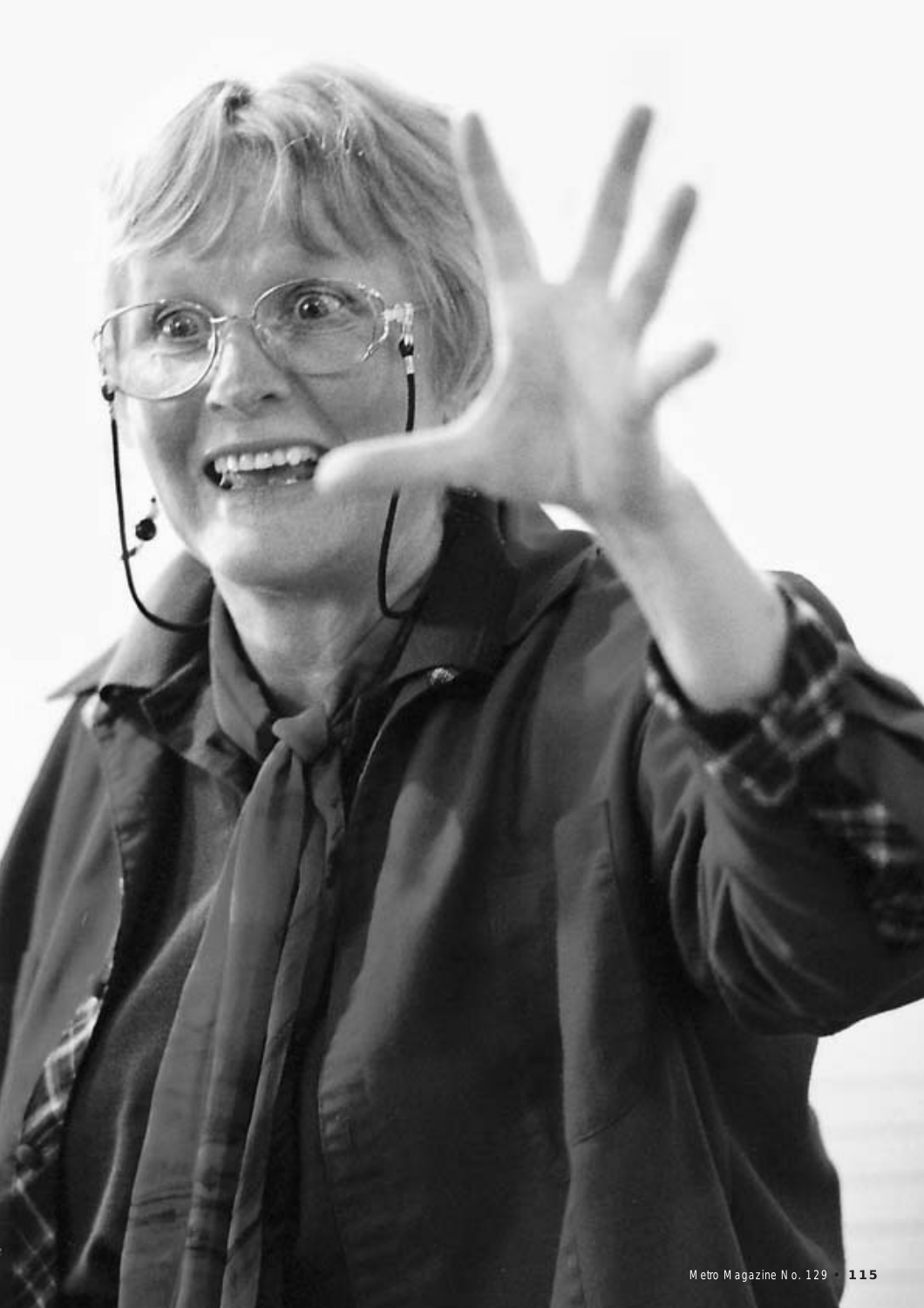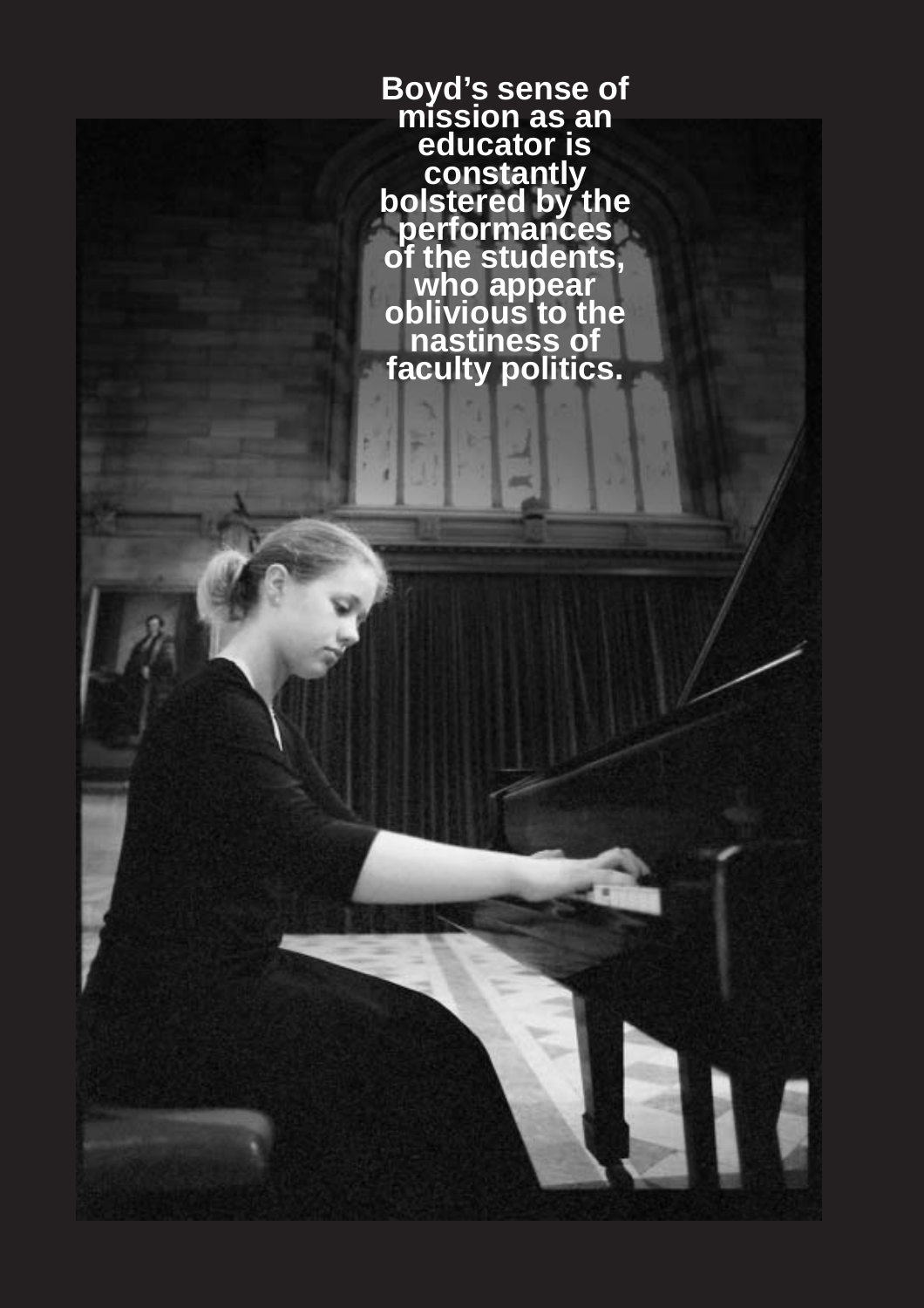**Boyd's sense of mission as an educator is constantly bolstered by the performances of the students, who appear oblivious to the nastiness of faculty politics.**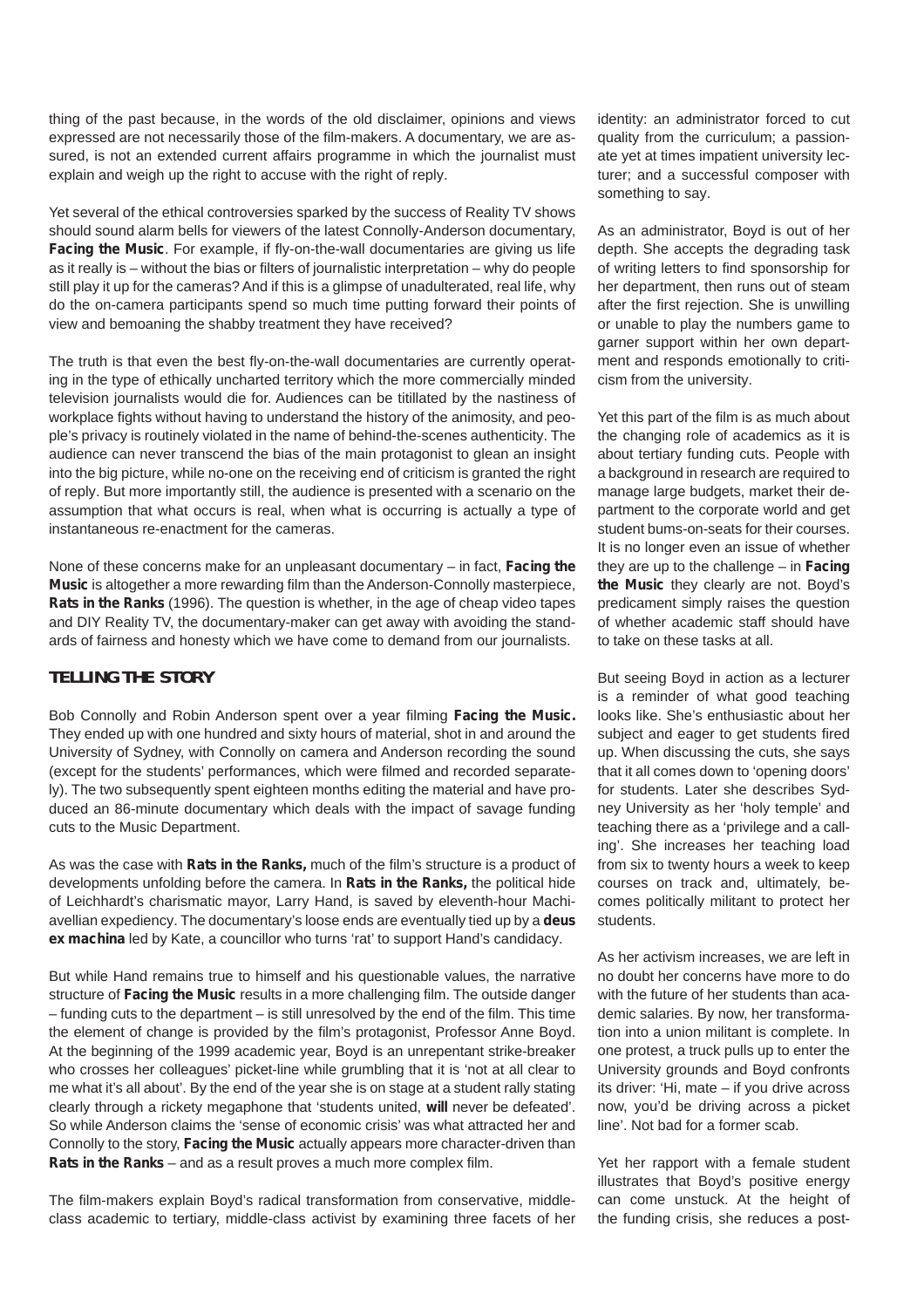thing of the past because, in the words of the old disclaimer, opinions and views expressed are not necessarily those of the film-makers. A documentary, we are assured, is not an extended current affairs programme in which the journalist must explain and weigh up the right to accuse with the right of reply.

Yet several of the ethical controversies sparked by the success of Reality TV shows should sound alarm bells for viewers of the latest Connolly-Anderson documentary, *Facing the Music*. For example, if fly-on-the-wall documentaries are giving us life as it really is – without the bias or filters of journalistic interpretation – why do people still play it up for the cameras? And if this is a glimpse of unadulterated, real life, why do the on-camera participants spend so much time putting forward their points of view and bemoaning the shabby treatment they have received?

The truth is that even the best fly-on-the-wall documentaries are currently operating in the type of ethically uncharted territory which the more commercially minded television journalists would die for. Audiences can be titillated by the nastiness of workplace fights without having to understand the history of the animosity, and people's privacy is routinely violated in the name of behind-the-scenes authenticity. The audience can never transcend the bias of the main protagonist to glean an insight into the big picture, while no-one on the receiving end of criticism is granted the right of reply. But more importantly still, the audience is presented with a scenario on the assumption that what occurs is real, when what is occurring is actually a type of instantaneous re-enactment for the cameras.

None of these concerns make for an unpleasant documentary – in fact, *Facing the Music* is altogether a more rewarding film than the Anderson-Connolly masterpiece, *Rats in the Ranks* (1996). The question is whether, in the age of cheap video tapes and DIY Reality TV, the documentary-maker can get away with avoiding the standards of fairness and honesty which we have come to demand from our journalists.

## **TELLING THE STORY**

Bob Connolly and Robin Anderson spent over a year filming *Facing the Music.* They ended up with one hundred and sixty hours of material, shot in and around the University of Sydney, with Connolly on camera and Anderson recording the sound (except for the students' performances, which were filmed and recorded separately). The two subsequently spent eighteen months editing the material and have produced an 86-minute documentary which deals with the impact of savage funding cuts to the Music Department.

As was the case with *Rats in the Ranks*, much of the film's structure is a product of developments unfolding before the camera. In *Rats in the Ranks,* the political hide of Leichhardt's charismatic mayor, Larry Hand, is saved by eleventh-hour Machiavellian expediency. The documentary's loose ends are eventually tied up by a *deus ex machina* led by Kate, a councillor who turns 'rat' to support Hand's candidacy.

But while Hand remains true to himself and his questionable values, the narrative structure of *Facing the Music* results in a more challenging film. The outside danger – funding cuts to the department – is still unresolved by the end of the film. This time the element of change is provided by the film's protagonist, Professor Anne Boyd. At the beginning of the 1999 academic year, Boyd is an unrepentant strike-breaker who crosses her colleagues' picket-line while grumbling that it is 'not at all clear to me what it's all about'. By the end of the year she is on stage at a student rally stating clearly through a rickety megaphone that 'students united, *will* never be defeated'. So while Anderson claims the 'sense of economic crisis' was what attracted her and Connolly to the story, *Facing the Music* actually appears more character-driven than *Rats in the Ranks* – and as a result proves a much more complex film.

The film-makers explain Boyd's radical transformation from conservative, middleclass academic to tertiary, middle-class activist by examining three facets of her identity: an administrator forced to cut quality from the curriculum; a passionate yet at times impatient university lecturer; and a successful composer with something to say.

As an administrator, Boyd is out of her depth. She accepts the degrading task of writing letters to find sponsorship for her department, then runs out of steam after the first rejection. She is unwilling or unable to play the numbers game to garner support within her own department and responds emotionally to criticism from the university.

Yet this part of the film is as much about the changing role of academics as it is about tertiary funding cuts. People with a background in research are required to manage large budgets, market their department to the corporate world and get student bums-on-seats for their courses. It is no longer even an issue of whether they are up to the challenge – in *Facing the Music* they clearly are not. Boyd's predicament simply raises the question of whether academic staff should have to take on these tasks at all.

But seeing Boyd in action as a lecturer is a reminder of what good teaching looks like. She's enthusiastic about her subject and eager to get students fired up. When discussing the cuts, she says that it all comes down to 'opening doors' for students. Later she describes Sydney University as her 'holy temple' and teaching there as a 'privilege and a calling'. She increases her teaching load from six to twenty hours a week to keep courses on track and, ultimately, becomes politically militant to protect her students.

As her activism increases, we are left in no doubt her concerns have more to do with the future of her students than academic salaries. By now, her transformation into a union militant is complete. In one protest, a truck pulls up to enter the University grounds and Boyd confronts its driver: 'Hi, mate – if you drive across now, you'd be driving across a picket line'. Not bad for a former scab.

Yet her rapport with a female student illustrates that Boyd's positive energy can come unstuck. At the height of the funding crisis, she reduces a post-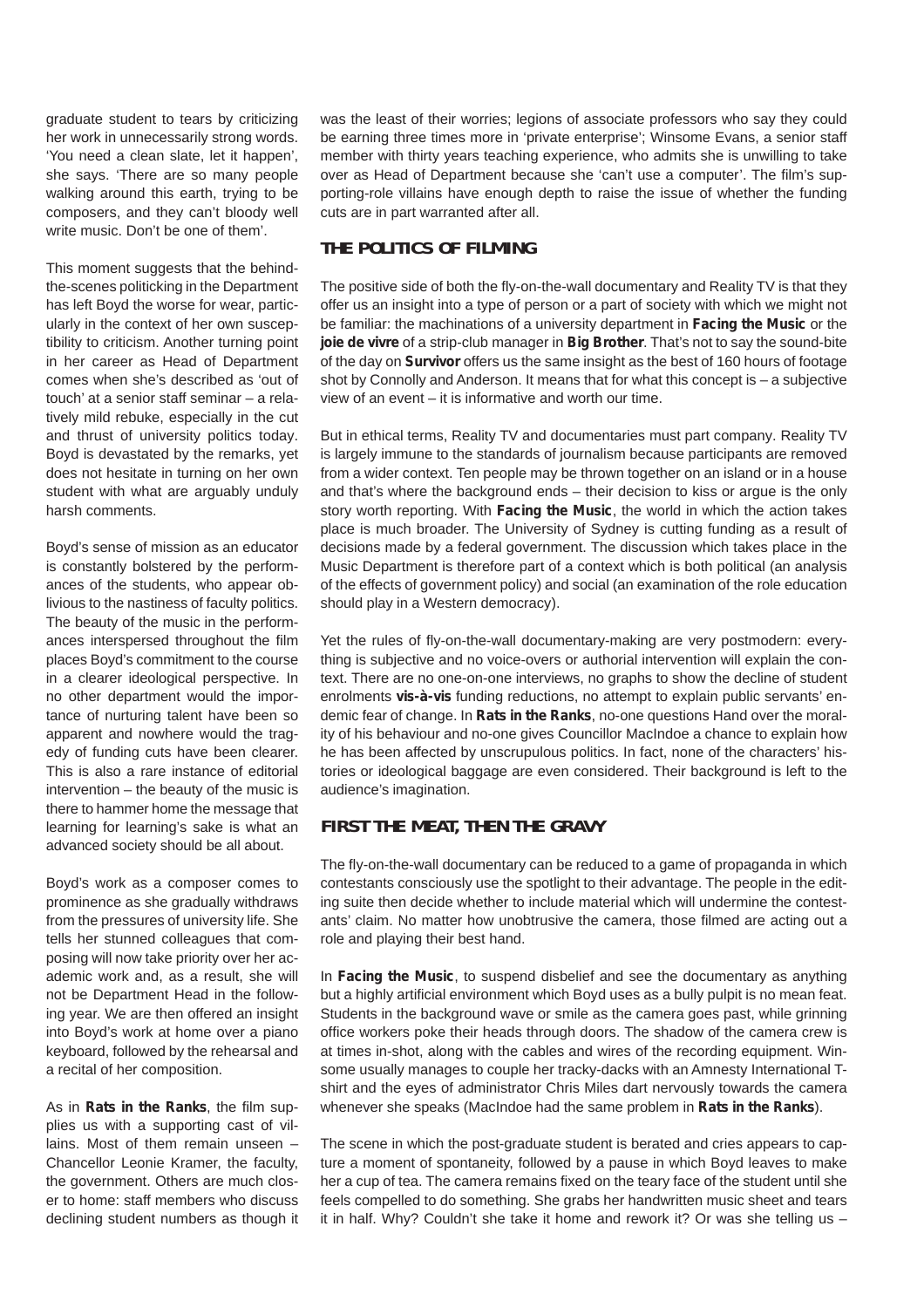graduate student to tears by criticizing her work in unnecessarily strong words. 'You need a clean slate, let it happen', she says. 'There are so many people walking around this earth, trying to be composers, and they can't bloody well write music. Don't be one of them'.

This moment suggests that the behindthe-scenes politicking in the Department has left Boyd the worse for wear, particularly in the context of her own susceptibility to criticism. Another turning point in her career as Head of Department comes when she's described as 'out of touch' at a senior staff seminar – a relatively mild rebuke, especially in the cut and thrust of university politics today. Boyd is devastated by the remarks, yet does not hesitate in turning on her own student with what are arguably unduly harsh comments.

Boyd's sense of mission as an educator is constantly bolstered by the performances of the students, who appear oblivious to the nastiness of faculty politics. The beauty of the music in the performances interspersed throughout the film places Boyd's commitment to the course in a clearer ideological perspective. In no other department would the importance of nurturing talent have been so apparent and nowhere would the tragedy of funding cuts have been clearer. This is also a rare instance of editorial intervention – the beauty of the music is there to hammer home the message that learning for learning's sake is what an advanced society should be all about.

Boyd's work as a composer comes to prominence as she gradually withdraws from the pressures of university life. She tells her stunned colleagues that composing will now take priority over her academic work and, as a result, she will not be Department Head in the following year. We are then offered an insight into Boyd's work at home over a piano keyboard, followed by the rehearsal and a recital of her composition.

As in *Rats in the Ranks*, the film supplies us with a supporting cast of villains. Most of them remain unseen – Chancellor Leonie Kramer, the faculty, the government. Others are much closer to home: staff members who discuss declining student numbers as though it

was the least of their worries; legions of associate professors who say they could be earning three times more in 'private enterprise'; Winsome Evans, a senior staff member with thirty years teaching experience, who admits she is unwilling to take over as Head of Department because she 'can't use a computer'. The film's supporting-role villains have enough depth to raise the issue of whether the funding cuts are in part warranted after all.

#### **THE POLITICS OF FILMING**

The positive side of both the fly-on-the-wall documentary and Reality TV is that they offer us an insight into a type of person or a part of society with which we might not be familiar: the machinations of a university department in *Facing the Music* or the *joie de vivre* of a strip-club manager in *Big Brother*. That's not to say the sound-bite of the day on *Survivor* offers us the same insight as the best of 160 hours of footage shot by Connolly and Anderson. It means that for what this concept is  $-$  a subjective view of an event – it is informative and worth our time.

But in ethical terms, Reality TV and documentaries must part company. Reality TV is largely immune to the standards of journalism because participants are removed from a wider context. Ten people may be thrown together on an island or in a house and that's where the background ends – their decision to kiss or argue is the only story worth reporting. With *Facing the Music*, the world in which the action takes place is much broader. The University of Sydney is cutting funding as a result of decisions made by a federal government. The discussion which takes place in the Music Department is therefore part of a context which is both political (an analysis of the effects of government policy) and social (an examination of the role education should play in a Western democracy).

Yet the rules of fly-on-the-wall documentary-making are very postmodern: everything is subjective and no voice-overs or authorial intervention will explain the context. There are no one-on-one interviews, no graphs to show the decline of student enrolments *vis-à-vis* funding reductions, no attempt to explain public servants' endemic fear of change. In *Rats in the Ranks*, no-one questions Hand over the morality of his behaviour and no-one gives Councillor MacIndoe a chance to explain how he has been affected by unscrupulous politics. In fact, none of the characters' histories or ideological baggage are even considered. Their background is left to the audience's imagination.

#### **FIRST THE MEAT, THEN THE GRAVY**

The fly-on-the-wall documentary can be reduced to a game of propaganda in which contestants consciously use the spotlight to their advantage. The people in the editing suite then decide whether to include material which will undermine the contestants' claim. No matter how unobtrusive the camera, those filmed are acting out a role and playing their best hand.

In *Facing the Music*, to suspend disbelief and see the documentary as anything but a highly artificial environment which Boyd uses as a bully pulpit is no mean feat. Students in the background wave or smile as the camera goes past, while grinning office workers poke their heads through doors. The shadow of the camera crew is at times in-shot, along with the cables and wires of the recording equipment. Winsome usually manages to couple her tracky-dacks with an Amnesty International Tshirt and the eyes of administrator Chris Miles dart nervously towards the camera whenever she speaks (MacIndoe had the same problem in *Rats in the Ranks*).

The scene in which the post-graduate student is berated and cries appears to capture a moment of spontaneity, followed by a pause in which Boyd leaves to make her a cup of tea. The camera remains fixed on the teary face of the student until she feels compelled to do something. She grabs her handwritten music sheet and tears it in half. Why? Couldn't she take it home and rework it? Or was she telling us –